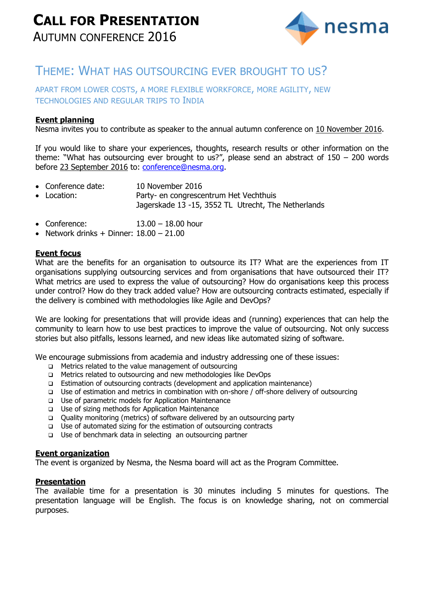

## THEME: WHAT HAS OUTSOURCING EVER BROUGHT TO US?

## APART FROM LOWER COSTS, A MORE FLEXIBLE WORKFORCE, MORE AGILITY, NEW TECHNOLOGIES AND REGULAR TRIPS TO INDIA

### **Event planning**

Nesma invites you to contribute as speaker to the annual autumn conference on 10 November 2016.

If you would like to share your experiences, thoughts, research results or other information on the theme: "What has outsourcing ever brought to us?", please send an abstract of  $150 - 200$  words before 23 September 2016 to: [conference@nesma.org.](mailto:conference@nesma.org)

- Conference date: 10 November 2016
- Location: Party- en congrescentrum Het Vechthuis Jagerskade 13 -15, 3552 TL Utrecht, The Netherlands
- Conference: 13.00 18.00 hour
- Network drinks + Dinner:  $18.00 21.00$

### **Event focus**

What are the benefits for an organisation to outsource its IT? What are the experiences from IT organisations supplying outsourcing services and from organisations that have outsourced their IT? What metrics are used to express the value of outsourcing? How do organisations keep this process under control? How do they track added value? How are outsourcing contracts estimated, especially if the delivery is combined with methodologies like Agile and DevOps?

We are looking for presentations that will provide ideas and (running) experiences that can help the community to learn how to use best practices to improve the value of outsourcing. Not only success stories but also pitfalls, lessons learned, and new ideas like automated sizing of software.

We encourage submissions from academia and industry addressing one of these issues:

- □ Metrics related to the value management of outsourcing
- Metrics related to outsourcing and new methodologies like DevOps
- Estimation of outsourcing contracts (development and application maintenance)
- Use of estimation and metrics in combination with on-shore / off-shore delivery of outsourcing
- Use of parametric models for Application Maintenance
- □ Use of sizing methods for Application Maintenance
- Quality monitoring (metrics) of software delivered by an outsourcing party
- $\Box$  Use of automated sizing for the estimation of outsourcing contracts
- Use of benchmark data in selecting an outsourcing partner

### **Event organization**

The event is organized by Nesma, the Nesma board will act as the Program Committee.

### **Presentation**

The available time for a presentation is 30 minutes including 5 minutes for questions. The presentation language will be English. The focus is on knowledge sharing, not on commercial purposes.